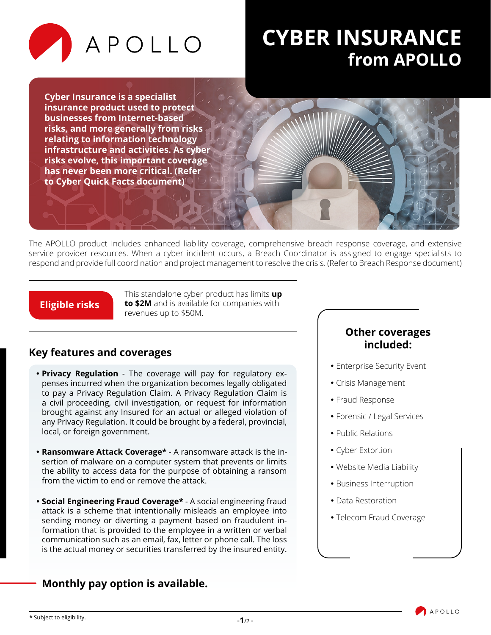

# **CYBER INSURANCE from APOLLO**

**Cyber Insurance is a specialist insurance product used to protect businesses from Internet-based risks, and more generally from risks relating to information technology infrastructure and activities. As cyber risks evolve, this important coverage has never been more critical. (Refer to Cyber Quick Facts document)**

The APOLLO product Includes enhanced liability coverage, comprehensive breach response coverage, and extensive service provider resources. When a cyber incident occurs, a Breach Coordinator is assigned to engage specialists to respond and provide full coordination and project management to resolve the crisis. (Refer to Breach Response document)

#### **Eligible risks**

This standalone cyber product has limits **up to \$2M** and is available for companies with revenues up to \$50M.

## **Key features and coverages**

- **Privacy Regulation** The coverage will pay for regulatory expenses incurred when the organization becomes legally obligated to pay a Privacy Regulation Claim. A Privacy Regulation Claim is a civil proceeding, civil investigation, or request for information brought against any Insured for an actual or alleged violation of any Privacy Regulation. It could be brought by a federal, provincial, local, or foreign government.
- **Ransomware Attack Coverage\*** A ransomware attack is the insertion of malware on a computer system that prevents or limits the ability to access data for the purpose of obtaining a ransom from the victim to end or remove the attack.
- **Social Engineering Fraud Coverage\*** A social engineering fraud attack is a scheme that intentionally misleads an employee into sending money or diverting a payment based on fraudulent information that is provided to the employee in a written or verbal communication such as an email, fax, letter or phone call. The loss is the actual money or securities transferred by the insured entity.

### **Other coverages included:**

- Enterprise Security Event
- Crisis Management
- Fraud Response
- Forensic / Legal Services
- Public Relations
- Cyber Extortion
- Website Media Liability
- Business Interruption
- Data Restoration
- Telecom Fraud Coverage

## **Monthly pay option is available.**